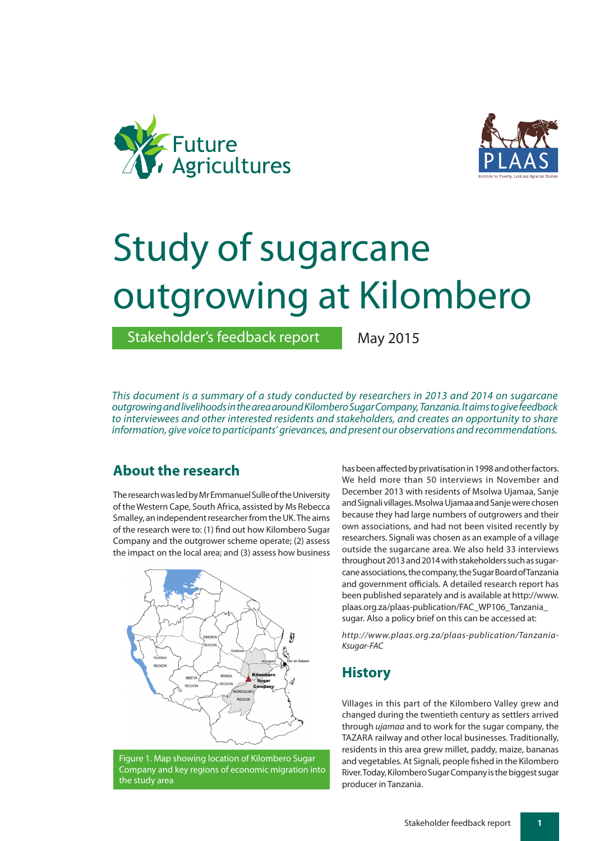



# Study of sugarcane outgrowing at Kilombero

Stakeholder's feedback report

May 2015

*This document is a summary of a study conducted by researchers in 2013 and 2014 on sugarcane outgrowing and livelihoods in the area around Kilombero Sugar Company, Tanzania. It aims to give feedback to interviewees and other interested residents and stakeholders, and creates an opportunity to share information, give voice to participants' grievances, and present our observations and recommendations.*

# **About the research**

The research was led by Mr Emmanuel Sulle of the University of the Western Cape, South Africa, assisted by Ms Rebecca Smalley, an independent researcher from the UK. The aims of the research were to: (1) find out how Kilombero Sugar Company and the outgrower scheme operate; (2) assess the impact on the local area; and (3) assess how business



Figure 1. Map showing location of Kilombero Sugar Company and key regions of economic migration into the study area

has been affected by privatisation in 1998 and other factors. We held more than 50 interviews in November and December 2013 with residents of Msolwa Ujamaa, Sanje and Signali villages. Msolwa Ujamaa and Sanje were chosen because they had large numbers of outgrowers and their own associations, and had not been visited recently by researchers. Signali was chosen as an example of a village outside the sugarcane area. We also held 33 interviews throughout 2013 and 2014 with stakeholders such as sugarcane associations, the company, the Sugar Board of Tanzania and government officials. A detailed research report has been published separately and is available at http://www. plaas.org.za/plaas-publication/FAC\_WP106\_Tanzania\_ sugar. Also a policy brief on this can be accessed at:

*http://www.plaas.org.za/plaas-publication/Tanzania-Ksugar-FAC*

# **History**

Villages in this part of the Kilombero Valley grew and changed during the twentieth century as settlers arrived through *ujamaa* and to work for the sugar company, the TAZARA railway and other local businesses. Traditionally, residents in this area grew millet, paddy, maize, bananas and vegetables. At Signali, people fished in the Kilombero River. Today, Kilombero Sugar Company is the biggest sugar producer in Tanzania.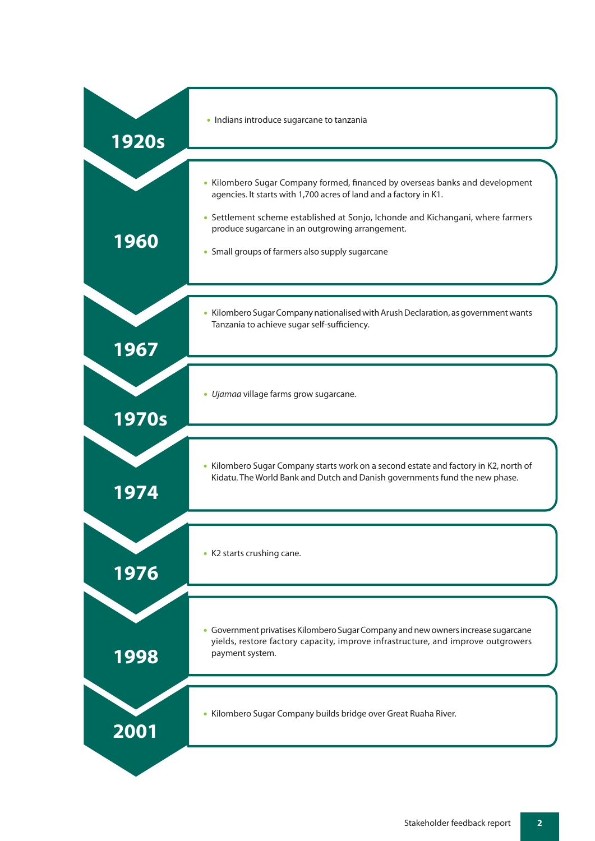| <b>1920s</b> | · Indians introduce sugarcane to tanzania                                                                                                                                                                                                                                                                                                  |
|--------------|--------------------------------------------------------------------------------------------------------------------------------------------------------------------------------------------------------------------------------------------------------------------------------------------------------------------------------------------|
| 1960         | • Kilombero Sugar Company formed, financed by overseas banks and development<br>agencies. It starts with 1,700 acres of land and a factory in K1.<br>• Settlement scheme established at Sonjo, Ichonde and Kichangani, where farmers<br>produce sugarcane in an outgrowing arrangement.<br>• Small groups of farmers also supply sugarcane |
| 1967         | • Kilombero Sugar Company nationalised with Arush Declaration, as government wants<br>Tanzania to achieve sugar self-sufficiency.                                                                                                                                                                                                          |
| 1970s        | · Ujamaa village farms grow sugarcane.                                                                                                                                                                                                                                                                                                     |
| 1974         | • Kilombero Sugar Company starts work on a second estate and factory in K2, north of<br>Kidatu. The World Bank and Dutch and Danish governments fund the new phase.                                                                                                                                                                        |
| 1976         | • K2 starts crushing cane.                                                                                                                                                                                                                                                                                                                 |
| 1998         | • Government privatises Kilombero Sugar Company and new owners increase sugarcane<br>yields, restore factory capacity, improve infrastructure, and improve outgrowers<br>payment system.                                                                                                                                                   |
| 2001         | • Kilombero Sugar Company builds bridge over Great Ruaha River.                                                                                                                                                                                                                                                                            |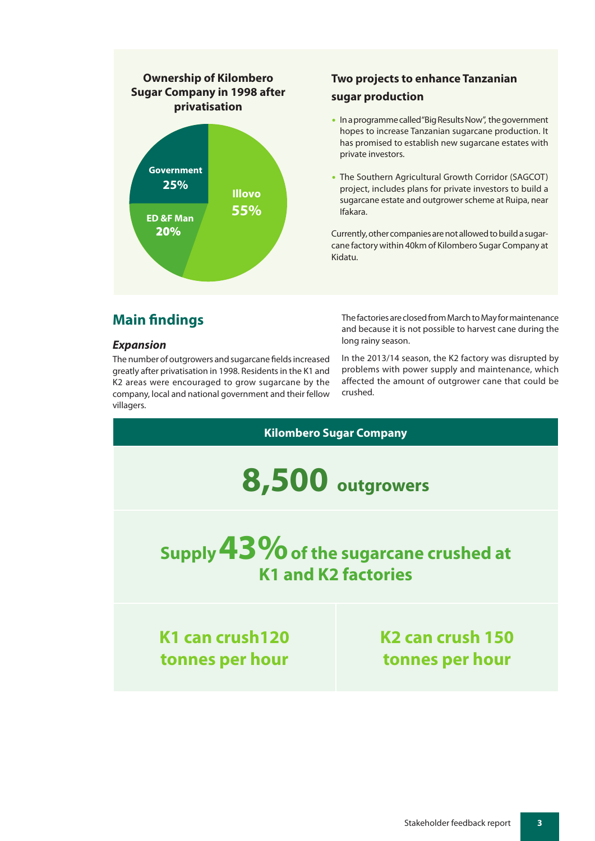

# **Two projects to enhance Tanzanian sugar production**

- **•** In a programme called "Big Results Now", the government hopes to increase Tanzanian sugarcane production. It has promised to establish new sugarcane estates with private investors.
- **•** The Southern Agricultural Growth Corridor (SAGCOT) project, includes plans for private investors to build a sugarcane estate and outgrower scheme at Ruipa, near Ifakara.

Currently, other companies are not allowed to build a sugarcane factory within 40km of Kilombero Sugar Company at Kidatu.

# **Main findings**

#### *Expansion*

The number of outgrowers and sugarcane fields increased greatly after privatisation in 1998. Residents in the K1 and K2 areas were encouraged to grow sugarcane by the company, local and national government and their fellow villagers.

The factories are closed from March to May for maintenance and because it is not possible to harvest cane during the long rainy season.

In the 2013/14 season, the K2 factory was disrupted by problems with power supply and maintenance, which affected the amount of outgrower cane that could be crushed.

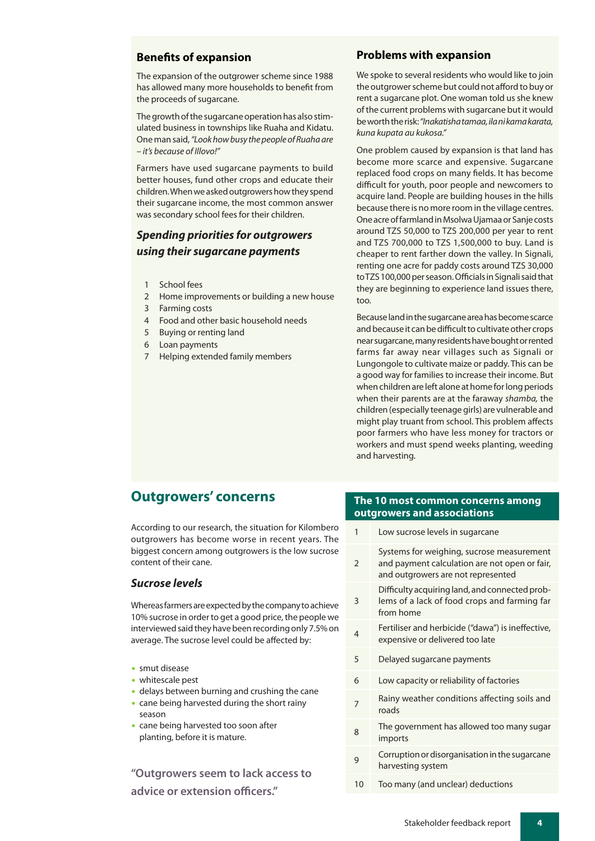#### **Benefits of expansion**

The expansion of the outgrower scheme since 1988 has allowed many more households to benefit from the proceeds of sugarcane.

The growth of the sugarcane operation has also stimulated business in townships like Ruaha and Kidatu. One man said, *"Look how busy the people of Ruaha are – it's because of Illovo!"*

Farmers have used sugarcane payments to build better houses, fund other crops and educate their children. When we asked outgrowers how they spend their sugarcane income, the most common answer was secondary school fees for their children.

## *Spending priorities for outgrowers using their sugarcane payments*

- 1 School fees
- 2 Home improvements or building a new house
- 3 Farming costs
- 4 Food and other basic household needs
- 5 Buying or renting land
- 6 Loan payments
- 7 Helping extended family members

#### **Problems with expansion**

We spoke to several residents who would like to join the outgrower scheme but could not afford to buy or rent a sugarcane plot. One woman told us she knew of the current problems with sugarcane but it would be worth the risk:*"Inakatisha tamaa, ila ni kama karata, kuna kupata au kukosa."*

One problem caused by expansion is that land has become more scarce and expensive. Sugarcane replaced food crops on many fields. It has become difficult for youth, poor people and newcomers to acquire land. People are building houses in the hills because there is no more room in the village centres. One acre of farmland in Msolwa Ujamaa or Sanje costs around TZS 50,000 to TZS 200,000 per year to rent and TZS 700,000 to TZS 1,500,000 to buy. Land is cheaper to rent farther down the valley. In Signali, renting one acre for paddy costs around TZS 30,000 to TZS 100,000 per season. Officials in Signali said that they are beginning to experience land issues there, too.

Because land in the sugarcane area has become scarce and because it can be difficult to cultivate other crops near sugarcane, many residents have bought or rented farms far away near villages such as Signali or Lungongole to cultivate maize or paddy. This can be a good way for families to increase their income. But when children are left alone at home for long periods when their parents are at the faraway *shamba,* the children (especially teenage girls) are vulnerable and might play truant from school. This problem affects poor farmers who have less money for tractors or workers and must spend weeks planting, weeding and harvesting.

## **Outgrowers' concerns**

According to our research, the situation for Kilombero outgrowers has become worse in recent years. The biggest concern among outgrowers is the low sucrose content of their cane.

#### *Sucrose levels*

Whereas farmers are expected by the company to achieve 10% sucrose in order to get a good price, the people we interviewed said they have been recording only 7.5% on average. The sucrose level could be affected by:

- **•** smut disease
- **•** whitescale pest
- **•** delays between burning and crushing the cane
- **•** cane being harvested during the short rainy season
- **•** cane being harvested too soon after planting, before it is mature.

**"Outgrowers seem to lack access to advice or extension officers."**

#### **The 10 most common concerns among outgrowers and associations**

| 1              | Low sucrose levels in sugarcane                                                                                                  |
|----------------|----------------------------------------------------------------------------------------------------------------------------------|
| $\overline{2}$ | Systems for weighing, sucrose measurement<br>and payment calculation are not open or fair,<br>and outgrowers are not represented |
| 3              | Difficulty acquiring land, and connected prob-<br>lems of a lack of food crops and farming far<br>from home                      |
| 4              | Fertiliser and herbicide ("dawa") is ineffective,<br>expensive or delivered too late                                             |
| 5              | Delayed sugarcane payments                                                                                                       |
| 6              | Low capacity or reliability of factories                                                                                         |
| 7              | Rainy weather conditions affecting soils and<br>roads                                                                            |
| 8              | The government has allowed too many sugar<br>imports                                                                             |
| g              | Corruption or disorganisation in the sugarcane<br>harvesting system                                                              |
| 10             | Too many (and unclear) deductions                                                                                                |
|                |                                                                                                                                  |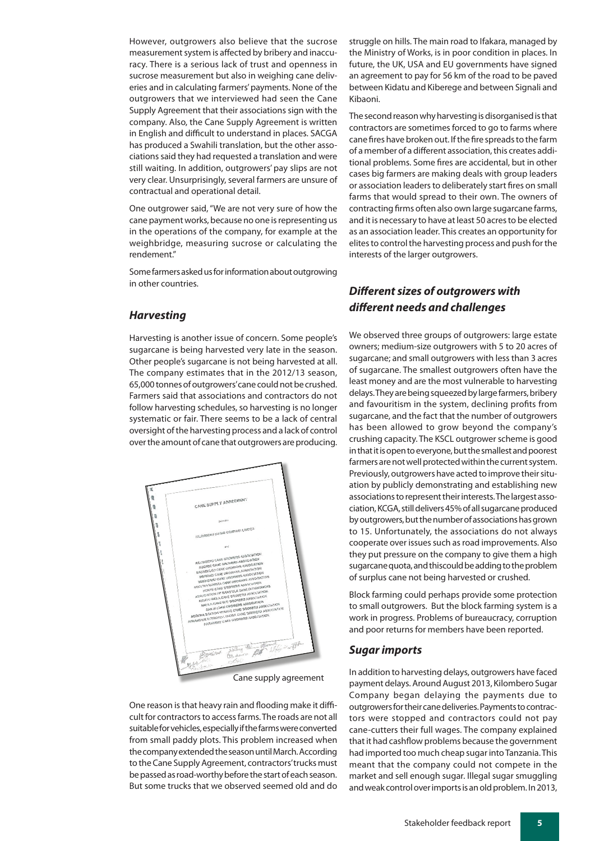However, outgrowers also believe that the sucrose measurement system is affected by bribery and inaccuracy. There is a serious lack of trust and openness in sucrose measurement but also in weighing cane deliveries and in calculating farmers' payments. None of the outgrowers that we interviewed had seen the Cane Supply Agreement that their associations sign with the company. Also, the Cane Supply Agreement is written in English and difficult to understand in places. SACGA has produced a Swahili translation, but the other associations said they had requested a translation and were still waiting. In addition, outgrowers' pay slips are not very clear. Unsurprisingly, several farmers are unsure of contractual and operational detail.

One outgrower said, "We are not very sure of how the cane payment works, because no one is representing us in the operations of the company, for example at the weighbridge, measuring sucrose or calculating the rendement."

Some farmers asked us for information about outgrowing in other countries.

#### *Harvesting*

Harvesting is another issue of concern. Some people's sugarcane is being harvested very late in the season. Other people's sugarcane is not being harvested at all. The company estimates that in the 2012/13 season, 65,000 tonnes of outgrowers' cane could not be crushed. Farmers said that associations and contractors do not follow harvesting schedules, so harvesting is no longer systematic or fair. There seems to be a lack of central oversight of the harvesting process and a lack of control over the amount of cane that outgrowers are producing.



One reason is that heavy rain and flooding make it difficult for contractors to access farms. The roads are not all suitable for vehicles, especially if the farms were converted from small paddy plots. This problem increased when the company extended the season until March. According to the Cane Supply Agreement, contractors' trucks must be passed as road-worthy before the start of each season. But some trucks that we observed seemed old and do

struggle on hills. The main road to Ifakara, managed by the Ministry of Works, is in poor condition in places. In future, the UK, USA and EU governments have signed an agreement to pay for 56 km of the road to be paved between Kidatu and Kiberege and between Signali and Kibaoni.

The second reason why harvesting is disorganised is that contractors are sometimes forced to go to farms where cane fires have broken out. If the fire spreads to the farm of a member of a different association, this creates additional problems. Some fires are accidental, but in other cases big farmers are making deals with group leaders or association leaders to deliberately start fires on small farms that would spread to their own. The owners of contracting firms often also own large sugarcane farms, and it is necessary to have at least 50 acres to be elected as an association leader. This creates an opportunity for elites to control the harvesting process and push for the interests of the larger outgrowers.

## *Different sizes of outgrowers with different needs and challenges*

We observed three groups of outgrowers: large estate owners; medium-size outgrowers with 5 to 20 acres of sugarcane; and small outgrowers with less than 3 acres of sugarcane. The smallest outgrowers often have the least money and are the most vulnerable to harvesting delays. They are being squeezed by large farmers, bribery and favouritism in the system, declining profits from sugarcane, and the fact that the number of outgrowers has been allowed to grow beyond the company's crushing capacity. The KSCL outgrower scheme is good in that it is open to everyone, but the smallest and poorest farmers are not well protected within the current system. Previously, outgrowers have acted to improve their situation by publicly demonstrating and establishing new associations to represent their interests. The largest association, KCGA, still delivers 45% of all sugarcane produced by outgrowers, but the number of associations has grown to 15. Unfortunately, the associations do not always cooperate over issues such as road improvements. Also they put pressure on the company to give them a high sugarcane quota, and thiscould be adding to the problem of surplus cane not being harvested or crushed.

Block farming could perhaps provide some protection to small outgrowers. But the block farming system is a work in progress. Problems of bureaucracy, corruption and poor returns for members have been reported.

#### *Sugar imports*

In addition to harvesting delays, outgrowers have faced payment delays. Around August 2013, Kilombero Sugar Company began delaying the payments due to outgrowers for their cane deliveries. Payments to contractors were stopped and contractors could not pay cane-cutters their full wages. The company explained that it had cashflow problems because the government had imported too much cheap sugar into Tanzania. This meant that the company could not compete in the market and sell enough sugar. Illegal sugar smuggling and weak control over imports is an old problem. In 2013,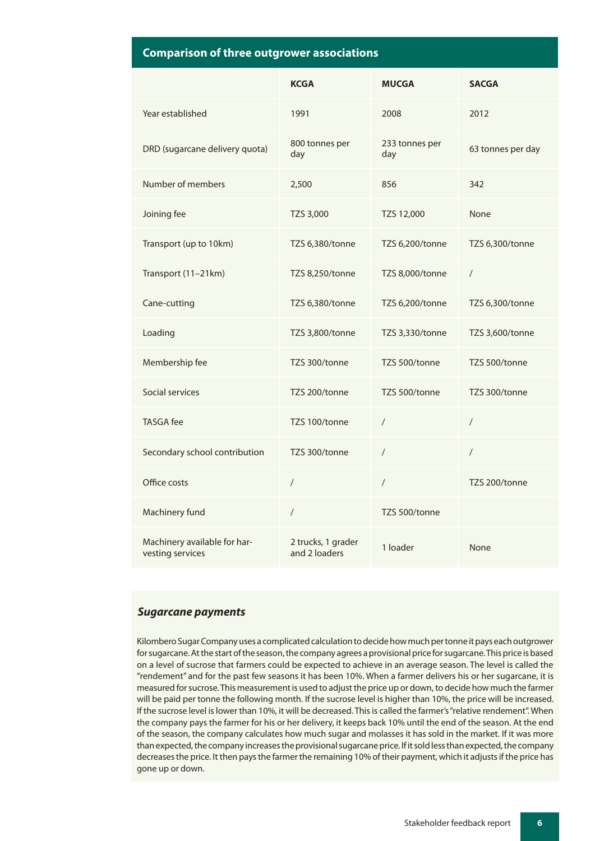|  |  | <b>Comparison of three outgrower associations</b> |  |
|--|--|---------------------------------------------------|--|
|  |  |                                                   |  |

|                                                  | <b>KCGA</b>                         | <b>MUCGA</b>          | <b>SACGA</b>      |
|--------------------------------------------------|-------------------------------------|-----------------------|-------------------|
| Year established                                 | 1991                                | 2008                  | 2012              |
| DRD (sugarcane delivery quota)                   | 800 tonnes per<br>day               | 233 tonnes per<br>day | 63 tonnes per day |
| Number of members                                | 2,500                               | 856                   | 342               |
| Joining fee                                      | TZS 3,000                           | TZS 12,000            | None              |
| Transport (up to 10km)                           | TZS 6,380/tonne                     | TZS 6,200/tonne       | TZS 6,300/tonne   |
| Transport (11-21km)                              | TZS 8,250/tonne                     | TZS 8,000/tonne       | $\sqrt{2}$        |
| Cane-cutting                                     | TZS 6,380/tonne                     | TZS 6,200/tonne       | TZS 6,300/tonne   |
| Loading                                          | TZS 3,800/tonne                     | TZS 3,330/tonne       | TZS 3,600/tonne   |
| Membership fee                                   | TZS 300/tonne                       | TZS 500/tonne         | TZS 500/tonne     |
| Social services                                  | TZS 200/tonne                       | TZS 500/tonne         | TZS 300/tonne     |
| <b>TASGA</b> fee                                 | TZS 100/tonne                       | $\sqrt{2}$            | $\sqrt{2}$        |
| Secondary school contribution                    | TZS 300/tonne                       | $\sqrt{2}$            | $\sqrt{2}$        |
| Office costs                                     | $\overline{1}$                      | $\sqrt{2}$            | TZS 200/tonne     |
| Machinery fund                                   | $\sqrt{2}$                          | TZS 500/tonne         |                   |
| Machinery available for har-<br>vesting services | 2 trucks, 1 grader<br>and 2 loaders | 1 loader              | None              |

#### *Sugarcane payments*

Kilombero Sugar Company uses a complicated calculation to decide how much per tonne it pays each outgrower for sugarcane. At the start of the season, the company agrees a provisional price for sugarcane. This price is based on a level of sucrose that farmers could be expected to achieve in an average season. The level is called the "rendement" and for the past few seasons it has been 10%. When a farmer delivers his or her sugarcane, it is measured for sucrose. This measurement is used to adjust the price up or down, to decide how much the farmer will be paid per tonne the following month. If the sucrose level is higher than 10%, the price will be increased. If the sucrose level is lower than 10%, it will be decreased. This is called the farmer's "relative rendement". When the company pays the farmer for his or her delivery, it keeps back 10% until the end of the season. At the end of the season, the company calculates how much sugar and molasses it has sold in the market. If it was more than expected, the company increases the provisional sugarcane price. If it sold less than expected, the company decreases the price. It then pays the farmer the remaining 10% of their payment, which it adjusts if the price has gone up or down.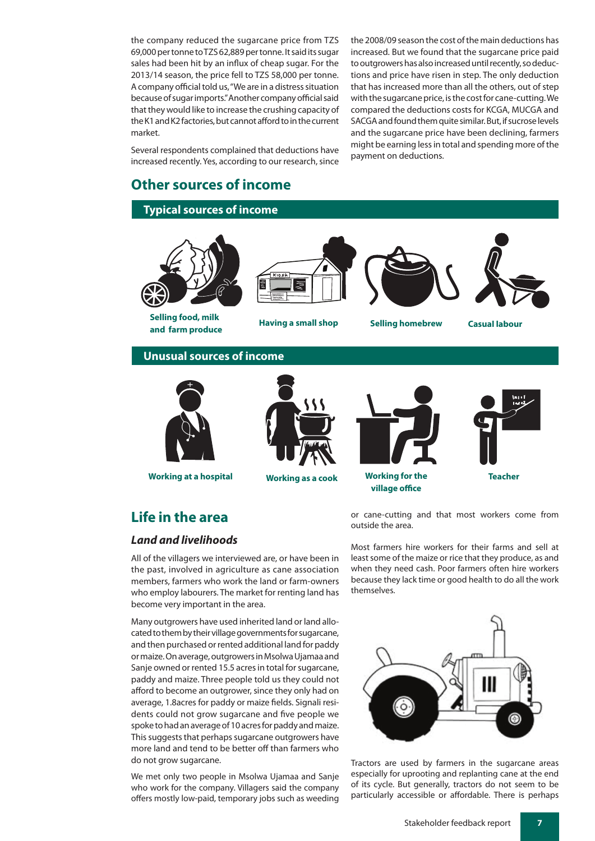the company reduced the sugarcane price from TZS 69,000 per tonne to TZS 62,889 per tonne. It said its sugar sales had been hit by an influx of cheap sugar. For the 2013/14 season, the price fell to TZS 58,000 per tonne. A company official told us, "We are in a distress situation because of sugar imports." Another company official said that they would like to increase the crushing capacity of the K1 and K2 factories, but cannot afford to in the current market.

Several respondents complained that deductions have increased recently. Yes, according to our research, since

## **Other sources of income**

#### **Typical sources of income**

the 2008/09 season the cost of the main deductions has increased. But we found that the sugarcane price paid to outgrowers has also increased until recently, so deductions and price have risen in step. The only deduction that has increased more than all the others, out of step with the sugarcane price, is the cost for cane-cutting. We compared the deductions costs for KCGA, MUCGA and SACGA and found them quite similar. But, if sucrose levels and the sugarcane price have been declining, farmers might be earning less in total and spending more of the payment on deductions.



**Selling food, milk and farm produce Having a small shop Selling homebrew Casual labour** 







#### **Unusual sources of income**



**Working at a hospital Working as a cook Working for the**





**village office**



#### **Teacher**

## **Life in the area**

#### *Land and livelihoods*

All of the villagers we interviewed are, or have been in the past, involved in agriculture as cane association members, farmers who work the land or farm-owners who employ labourers. The market for renting land has become very important in the area.

Many outgrowers have used inherited land or land allocated to them by their village governments for sugarcane, and then purchased or rented additional land for paddy or maize. On average, outgrowers in Msolwa Ujamaa and Sanje owned or rented 15.5 acres in total for sugarcane, paddy and maize. Three people told us they could not afford to become an outgrower, since they only had on average, 1.8acres for paddy or maize fields. Signali residents could not grow sugarcane and five people we spoke to had an average of 10 acres for paddy and maize. This suggests that perhaps sugarcane outgrowers have more land and tend to be better off than farmers who do not grow sugarcane.

We met only two people in Msolwa Ujamaa and Sanje who work for the company. Villagers said the company offers mostly low-paid, temporary jobs such as weeding

or cane-cutting and that most workers come from outside the area.

Most farmers hire workers for their farms and sell at least some of the maize or rice that they produce, as and when they need cash. Poor farmers often hire workers because they lack time or good health to do all the work themselves.



Tractors are used by farmers in the sugarcane areas especially for uprooting and replanting cane at the end of its cycle. But generally, tractors do not seem to be particularly accessible or affordable. There is perhaps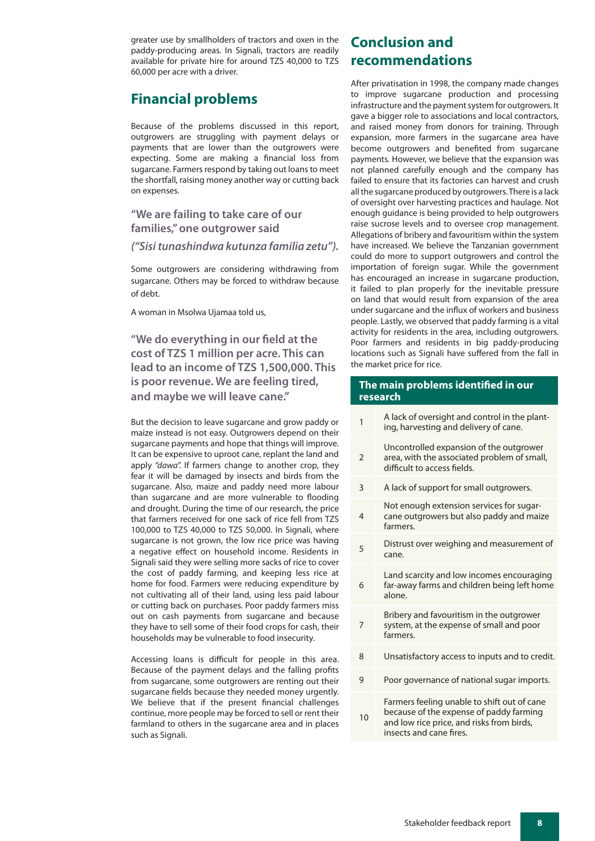greater use by smallholders of tractors and oxen in the paddy-producing areas. In Signali, tractors are readily available for private hire for around TZS 40,000 to TZS 60,000 per acre with a driver.

## **Financial problems**

Because of the problems discussed in this report, outgrowers are struggling with payment delays or payments that are lower than the outgrowers were expecting. Some are making a financial loss from sugarcane. Farmers respond by taking out loans to meet the shortfall, raising money another way or cutting back on expenses.

#### **"We are failing to take care of our families," one outgrower said**

#### *("Sisi tunashindwa kutunza familia zetu").*

Some outgrowers are considering withdrawing from sugarcane. Others may be forced to withdraw because of debt.

A woman in Msolwa Ujamaa told us,

**"We do everything in our field at the cost of TZS 1 million per acre. This can lead to an income of TZS 1,500,000. This is poor revenue. We are feeling tired, and maybe we will leave cane."** 

But the decision to leave sugarcane and grow paddy or maize instead is not easy. Outgrowers depend on their sugarcane payments and hope that things will improve. It can be expensive to uproot cane, replant the land and apply *"dawa".* If farmers change to another crop, they fear it will be damaged by insects and birds from the sugarcane. Also, maize and paddy need more labour than sugarcane and are more vulnerable to flooding and drought. During the time of our research, the price that farmers received for one sack of rice fell from TZS 100,000 to TZS 40,000 to TZS 50,000. In Signali, where sugarcane is not grown, the low rice price was having a negative effect on household income. Residents in Signali said they were selling more sacks of rice to cover the cost of paddy farming, and keeping less rice at home for food. Farmers were reducing expenditure by not cultivating all of their land, using less paid labour or cutting back on purchases. Poor paddy farmers miss out on cash payments from sugarcane and because they have to sell some of their food crops for cash, their households may be vulnerable to food insecurity.

Accessing loans is difficult for people in this area. Because of the payment delays and the falling profits from sugarcane, some outgrowers are renting out their sugarcane fields because they needed money urgently. We believe that if the present financial challenges continue, more people may be forced to sell or rent their farmland to others in the sugarcane area and in places such as Signali.

## **Conclusion and recommendations**

After privatisation in 1998, the company made changes to improve sugarcane production and processing infrastructure and the payment system for outgrowers. It gave a bigger role to associations and local contractors, and raised money from donors for training. Through expansion, more farmers in the sugarcane area have become outgrowers and benefited from sugarcane payments. However, we believe that the expansion was not planned carefully enough and the company has failed to ensure that its factories can harvest and crush all the sugarcane produced by outgrowers. There is a lack of oversight over harvesting practices and haulage. Not enough guidance is being provided to help outgrowers raise sucrose levels and to oversee crop management. Allegations of bribery and favouritism within the system have increased. We believe the Tanzanian government could do more to support outgrowers and control the importation of foreign sugar. While the government has encouraged an increase in sugarcane production, it failed to plan properly for the inevitable pressure on land that would result from expansion of the area under sugarcane and the influx of workers and business people. Lastly, we observed that paddy farming is a vital activity for residents in the area, including outgrowers. Poor farmers and residents in big paddy-producing locations such as Signali have suffered from the fall in the market price for rice.

#### **The main problems identified in our research**

- 1 A lack of oversight and control in the planting, harvesting and delivery of cane.
- $\overline{2}$ Uncontrolled expansion of the outgrower area, with the associated problem of small, difficult to access fields.
- 3 A lack of support for small outgrowers.
- 4 Not enough extension services for sugarcane outgrowers but also paddy and maize farmers.
- <sup>5</sup> Distrust over weighing and measurement of cane.
- 6 Land scarcity and low incomes encouraging far-away farms and children being left home alone.
	- Bribery and favouritism in the outgrower system, at the expense of small and poor farmers.

7

10

- 8 Unsatisfactory access to inputs and to credit.
- 9 Poor governance of national sugar imports.
	- Farmers feeling unable to shift out of cane because of the expense of paddy farming and low rice price, and risks from birds, insects and cane fires.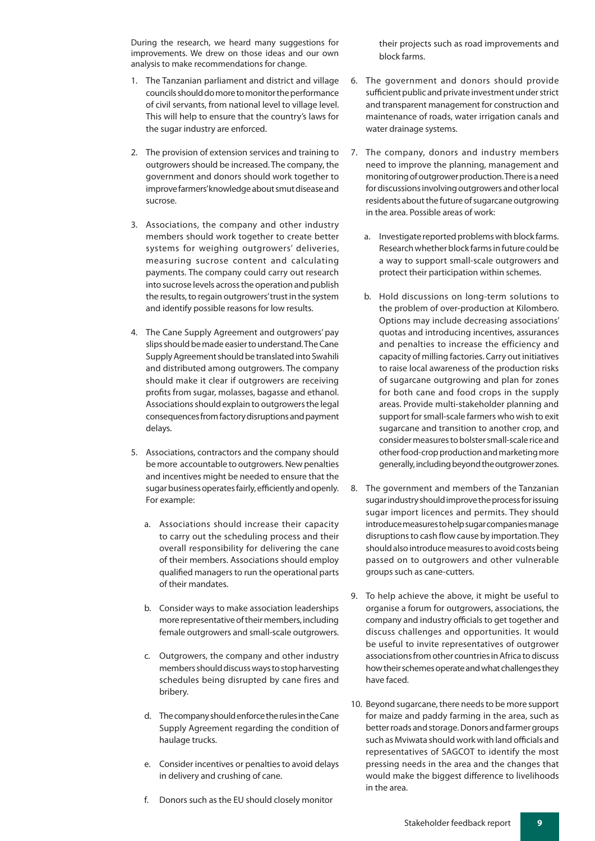During the research, we heard many suggestions for improvements. We drew on those ideas and our own analysis to make recommendations for change.

- 1. The Tanzanian parliament and district and village councils should do more to monitor the performance of civil servants, from national level to village level. This will help to ensure that the country's laws for the sugar industry are enforced.
- 2. The provision of extension services and training to outgrowers should be increased. The company, the government and donors should work together to improve farmers' knowledge about smut disease and sucrose.
- 3. Associations, the company and other industry members should work together to create better systems for weighing outgrowers' deliveries, measuring sucrose content and calculating payments. The company could carry out research into sucrose levels across the operation and publish the results, to regain outgrowers' trust in the system and identify possible reasons for low results.
- 4. The Cane Supply Agreement and outgrowers' pay slips should be made easier to understand. The Cane Supply Agreement should be translated into Swahili and distributed among outgrowers. The company should make it clear if outgrowers are receiving profits from sugar, molasses, bagasse and ethanol. Associations should explain to outgrowers the legal consequences from factory disruptions and payment delays.
- 5. Associations, contractors and the company should be more accountable to outgrowers. New penalties and incentives might be needed to ensure that the sugar business operates fairly, efficiently and openly. For example:
	- a. Associations should increase their capacity to carry out the scheduling process and their overall responsibility for delivering the cane of their members. Associations should employ qualified managers to run the operational parts of their mandates.
	- b. Consider ways to make association leaderships more representative of their members, including female outgrowers and small-scale outgrowers.
	- c. Outgrowers, the company and other industry members should discuss ways to stop harvesting schedules being disrupted by cane fires and bribery.
	- d. The company should enforce the rules in the Cane Supply Agreement regarding the condition of haulage trucks.
	- e. Consider incentives or penalties to avoid delays in delivery and crushing of cane.
	- f. Donors such as the EU should closely monitor

their projects such as road improvements and block farms.

- 6. The government and donors should provide sufficient public and private investment under strict and transparent management for construction and maintenance of roads, water irrigation canals and water drainage systems.
- 7. The company, donors and industry members need to improve the planning, management and monitoring of outgrower production. There is a need for discussions involving outgrowers and other local residents about the future of sugarcane outgrowing in the area. Possible areas of work:
	- a. Investigate reported problems with block farms. Research whether block farms in future could be a way to support small-scale outgrowers and protect their participation within schemes.
	- b. Hold discussions on long-term solutions to the problem of over-production at Kilombero. Options may include decreasing associations' quotas and introducing incentives, assurances and penalties to increase the efficiency and capacity of milling factories. Carry out initiatives to raise local awareness of the production risks of sugarcane outgrowing and plan for zones for both cane and food crops in the supply areas. Provide multi-stakeholder planning and support for small-scale farmers who wish to exit sugarcane and transition to another crop, and consider measures to bolster small-scale rice and other food-crop production and marketing more generally, including beyond the outgrower zones.
- 8. The government and members of the Tanzanian sugar industry should improve the process for issuing sugar import licences and permits. They should introduce measures to help sugar companies manage disruptions to cash flow cause by importation. They should also introduce measures to avoid costs being passed on to outgrowers and other vulnerable groups such as cane-cutters.
- 9. To help achieve the above, it might be useful to organise a forum for outgrowers, associations, the company and industry officials to get together and discuss challenges and opportunities. It would be useful to invite representatives of outgrower associations from other countries in Africa to discuss how their schemes operate and what challenges they have faced.
- 10. Beyond sugarcane, there needs to be more support for maize and paddy farming in the area, such as better roads and storage. Donors and farmer groups such as Mviwata should work with land officials and representatives of SAGCOT to identify the most pressing needs in the area and the changes that would make the biggest difference to livelihoods in the area.